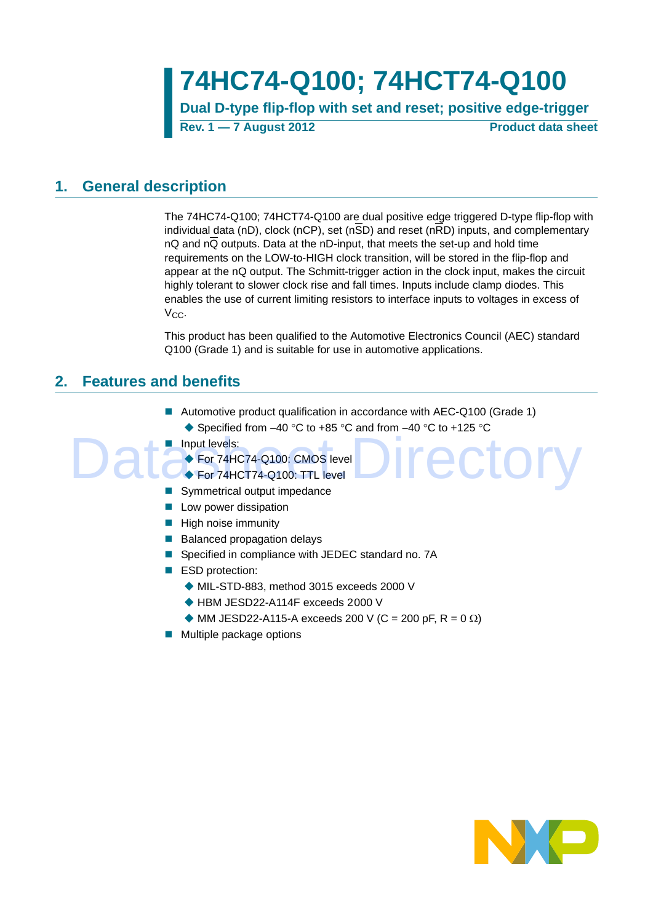**74HC74-Q100; 74HCT74-Q100**

**Dual D-type flip-flop with set and reset; positive edge-trigger Rev. 1 — 7 August 2012 Product data sheet**

## <span id="page-0-0"></span>**1. General description**

The 74HC74-Q100; 74HCT74-Q100 are dual positive edge triggered D-type flip-flop with individual data (nD), clock (nCP), set (n $\overline{SD}$ ) and reset (n $\overline{RD}$ ) inputs, and complementary nQ and nQ outputs. Data at the nD-input, that meets the set-up and hold time requirements on the LOW-to-HIGH clock transition, will be stored in the flip-flop and appear at the nQ output. The Schmitt-trigger action in the clock input, makes the circuit highly tolerant to slower clock rise and fall times. Inputs include clamp diodes. This enables the use of current limiting resistors to interface inputs to voltages in excess of  $V_{CC}$ .

This product has been qualified to the Automotive Electronics Council (AEC) standard Q100 (Grade 1) and is suitable for use in automotive applications.

Irector

## **2. Features and benefits**

- Automotive product qualification in accordance with AEC-Q100 (Grade 1)  $\triangle$  Specified from -40 °C to +85 °C and from -40 °C to +125 °C
- **Input levels:**

For 74HC74-Q100: CMOS level

- For 74HCT74-Q100: TTL level
- Symmetrical output impedance
- $\blacksquare$  Low power dissipation
- $\blacksquare$  High noise immunity
- Balanced propagation delays
- Specified in compliance with JEDEC standard no. 7A
- ESD protection:
	- MIL-STD-883, method 3015 exceeds 2000 V
	- ◆ HBM JESD22-A114F exceeds 2000 V
	- $\blacklozenge$  MM JESD22-A115-A exceeds 200 V (C = 200 pF, R = 0  $\Omega$ )
- **Multiple package options**

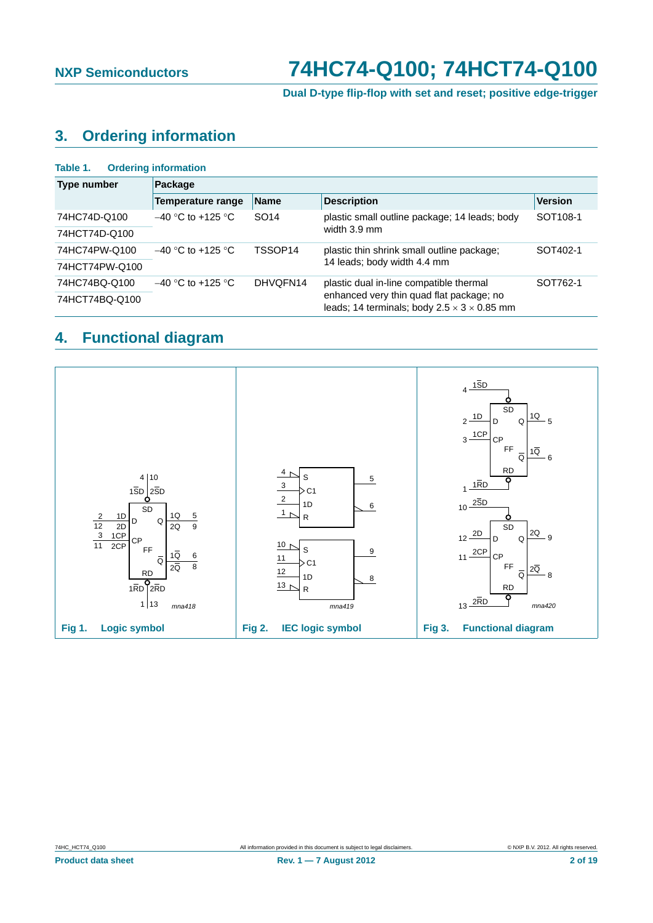**Dual D-type flip-flop with set and reset; positive edge-trigger**

# <span id="page-1-0"></span>**3. Ordering information**

| <b>Ordering information</b><br>Table 1. |                                  |                  |                                                                                                     |                      |  |  |  |  |  |  |
|-----------------------------------------|----------------------------------|------------------|-----------------------------------------------------------------------------------------------------|----------------------|--|--|--|--|--|--|
| Type number                             | Package                          |                  |                                                                                                     |                      |  |  |  |  |  |  |
|                                         | <b>Temperature range</b>         | <b>Name</b>      | <b>Description</b>                                                                                  | <b>Version</b>       |  |  |  |  |  |  |
| 74HC74D-Q100                            | $-40$ °C to +125 °C              | SO <sub>14</sub> | plastic small outline package; 14 leads; body                                                       | SOT <sub>108-1</sub> |  |  |  |  |  |  |
| 74HCT74D-Q100                           |                                  |                  | width 3.9 mm                                                                                        |                      |  |  |  |  |  |  |
| 74HC74PW-Q100                           | TSSOP14<br>$-40$ °C to +125 °C   |                  | plastic thin shrink small outline package;                                                          | SOT402-1             |  |  |  |  |  |  |
| 74HCT74PW-Q100                          |                                  |                  | 14 leads; body width 4.4 mm                                                                         |                      |  |  |  |  |  |  |
| 74HC74BQ-Q100                           | $-40$ °C to +125 °C.<br>DHVOFN14 |                  | plastic dual in-line compatible thermal                                                             | SOT762-1             |  |  |  |  |  |  |
| 74HCT74BQ-Q100                          |                                  |                  | enhanced very thin quad flat package; no<br>leads; 14 terminals; body $2.5 \times 3 \times 0.85$ mm |                      |  |  |  |  |  |  |

## **4. Functional diagram**

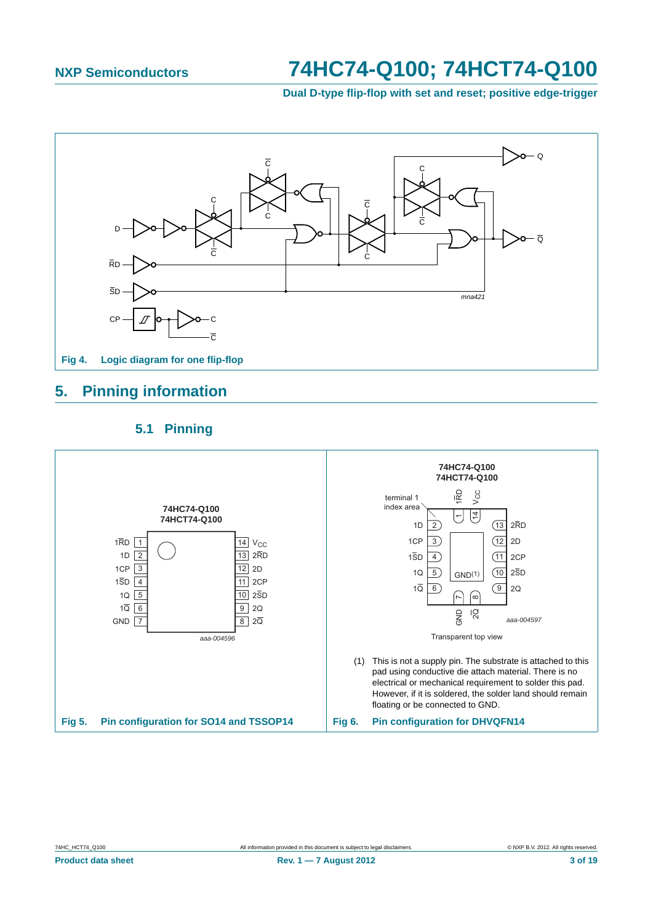**Dual D-type flip-flop with set and reset; positive edge-trigger**

<span id="page-2-0"></span>

## **5. Pinning information**

## **5.1 Pinning**

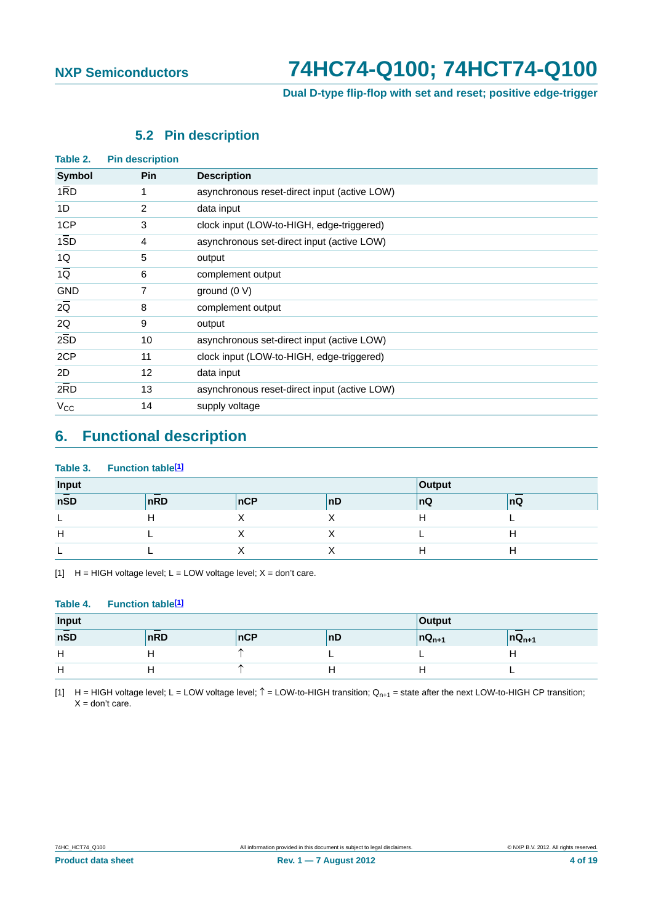### **Dual D-type flip-flop with set and reset; positive edge-trigger**

## **5.2 Pin description**

<span id="page-3-0"></span>

| Table 2.         | <b>Pin description</b> |                                              |
|------------------|------------------------|----------------------------------------------|
| Symbol           | <b>Pin</b>             | <b>Description</b>                           |
| 1RD              | 1                      | asynchronous reset-direct input (active LOW) |
| 1D               | 2                      | data input                                   |
| 1CP              | 3                      | clock input (LOW-to-HIGH, edge-triggered)    |
| $1\overline{SD}$ | 4                      | asynchronous set-direct input (active LOW)   |
| 1Q               | 5                      | output                                       |
| $1\overline{Q}$  | 6                      | complement output                            |
| <b>GND</b>       | 7                      | ground $(0 V)$                               |
| $2\overline{Q}$  | 8                      | complement output                            |
| 2Q               | 9                      | output                                       |
| 2SD              | 10                     | asynchronous set-direct input (active LOW)   |
| 2CP              | 11                     | clock input (LOW-to-HIGH, edge-triggered)    |
| 2D               | $12 \overline{ }$      | data input                                   |
| $2\overline{R}D$ | 13                     | asynchronous reset-direct input (active LOW) |
| $V_{CC}$         | 14                     | supply voltage                               |

## **6. Functional description**

### **Table 3. Function table[1]**

| Input |     | Output |    |     |    |
|-------|-----|--------|----|-----|----|
| nSD   | nRD | nCP    | nD | ∣nQ | nQ |
|       |     |        |    |     |    |
| н     |     |        |    |     |    |
|       |     |        |    |     |    |

[1]  $H = HIGH$  voltage level;  $L = LOW$  voltage level;  $X = don't$  care.

### **Table 4. Function table[1]**

| Input    |     | Output |     |              |              |
|----------|-----|--------|-----|--------------|--------------|
| nSD      | nRD | nCP    | ∣nD | $ nQ_{n+1} $ | $ nQ_{n+1} $ |
| н<br>. . |     |        |     |              |              |
| н        |     |        |     |              |              |

[1] H = HIGH voltage level; L = LOW voltage level;  $\hat{T}$  = LOW-to-HIGH transition; Q<sub>n+1</sub> = state after the next LOW-to-HIGH CP transition;  $X =$  don't care.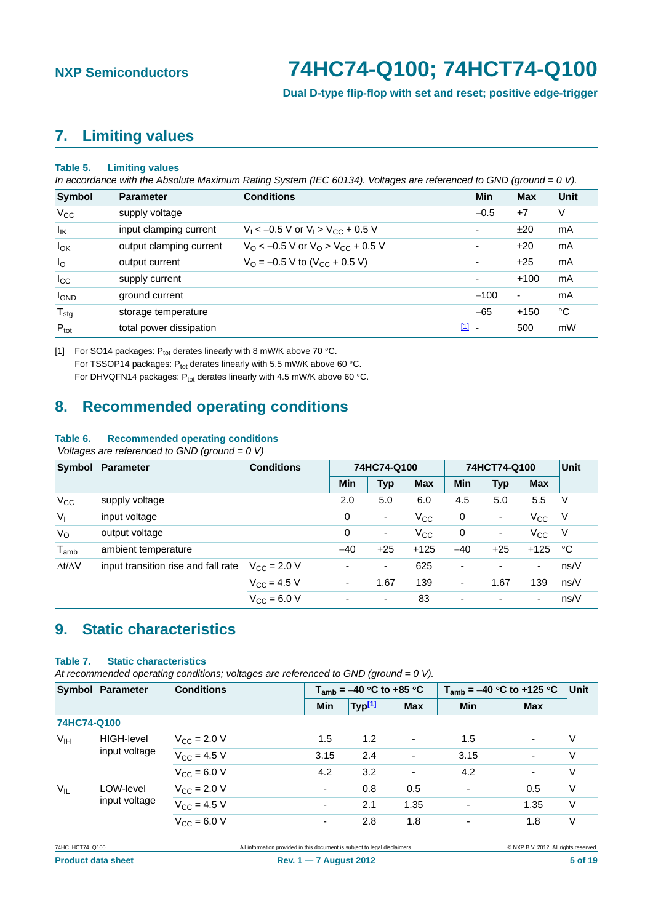**Dual D-type flip-flop with set and reset; positive edge-trigger**

## <span id="page-4-0"></span>**7. Limiting values**

### **Table 5. Limiting values**

*In accordance with the Absolute Maximum Rating System (IEC 60134). Voltages are referenced to GND (ground = 0 V).*

| Symbol            | <b>Parameter</b>        | <b>Conditions</b>                                          | Min                      | Max    | Unit |
|-------------------|-------------------------|------------------------------------------------------------|--------------------------|--------|------|
| $V_{\rm CC}$      | supply voltage          |                                                            | $-0.5$                   | $+7$   | V    |
| $I_{\mathsf{IK}}$ | input clamping current  | $V_1 < -0.5$ V or $V_1 > V_{CC} + 0.5$ V                   | ٠                        | ±20    | mA   |
| $I_{OK}$          | output clamping current | $V_{\rm O}$ < -0.5 V or $V_{\rm O}$ > $V_{\rm CC}$ + 0.5 V | ٠                        | ±20    | mA   |
| $I_{\rm O}$       | output current          | $V_{\rm O}$ = -0.5 V to (V <sub>CC</sub> + 0.5 V)          | ٠                        | ±25    | mA   |
| $I_{\rm CC}$      | supply current          |                                                            | $\overline{\phantom{a}}$ | $+100$ | mA   |
| <b>I</b> GND      | ground current          |                                                            | $-100$                   | ۰      | mA   |
| $T_{\text{stg}}$  | storage temperature     |                                                            | $-65$                    | $+150$ | °C   |
| $P_{\text{tot}}$  | total power dissipation |                                                            | $\boxed{1}$ -            | 500    | mW   |

[1] For SO14 packages:  $P_{tot}$  derates linearly with 8 mW/K above 70 °C. For TSSOP14 packages:  $P_{tot}$  derates linearly with 5.5 mW/K above 60 °C. For DHVQFN14 packages:  $P_{tot}$  derates linearly with 4.5 mW/K above 60 °C.

## **8. Recommended operating conditions**

### **Table 6. Recommended operating conditions**

 *Voltages are referenced to GND (ground = 0 V)*

|                     | Symbol Parameter                    | <b>Conditions</b>       | 74HC74-Q100              |                          |            | 74HCT74-Q100 |                          |              | <b>Unit</b> |
|---------------------|-------------------------------------|-------------------------|--------------------------|--------------------------|------------|--------------|--------------------------|--------------|-------------|
|                     |                                     |                         | <b>Min</b>               | <b>Typ</b>               | <b>Max</b> | <b>Min</b>   | <b>Typ</b>               | <b>Max</b>   |             |
| $V_{CC}$            | supply voltage                      |                         | 2.0                      | 5.0                      | 6.0        | 4.5          | 5.0                      | 5.5          | V           |
| $V_{1}$             | input voltage                       |                         | 0                        | $\overline{\phantom{a}}$ | $V_{CC}$   | 0            | ٠                        | $V_{\rm CC}$ | - V         |
| $V_{\rm O}$         | output voltage                      |                         | 0                        | $\overline{\phantom{a}}$ | $V_{CC}$   | 0            | ٠                        | $V_{\rm CC}$ | - V         |
| $T_{amb}$           | ambient temperature                 |                         | $-40$                    | $+25$                    | $+125$     | $-40$        | $+25$                    | $+125$       | °C          |
| $\Delta t/\Delta V$ | input transition rise and fall rate | $V_{\rm CC} = 2.0 V$    | $\overline{\phantom{a}}$ | ۰                        | 625        | -            | $\overline{\phantom{0}}$ | ۰            | ns/V        |
|                     |                                     | $V_{\rm CC}$ = 4.5 V    | ٠                        | 1.67                     | 139        | -            | 1.67                     | 139          | ns/V        |
|                     |                                     | $V_{\text{CC}} = 6.0 V$ | ۰                        | ٠                        | 83         | ۰            | $\overline{\phantom{0}}$ | ٠            | ns/V        |

## **9. Static characteristics**

### **Table 7. Static characteristics**

*At recommended operating conditions; voltages are referenced to GND (ground = 0 V).*

|                 | <b>Symbol Parameter</b> | <b>Conditions</b>            | $T_{amb}$ = -40 °C to +85 °C |                    |                | $T_{amb}$ = -40 °C to +125 °C | Unit                     |   |
|-----------------|-------------------------|------------------------------|------------------------------|--------------------|----------------|-------------------------------|--------------------------|---|
|                 |                         |                              | Min                          | Typ <sup>[1]</sup> | <b>Max</b>     | <b>Min</b>                    | <b>Max</b>               |   |
| 74HC74-Q100     |                         |                              |                              |                    |                |                               |                          |   |
| $V_{\text{IH}}$ | <b>HIGH-level</b>       | $V_{\text{CC}} = 2.0 V$      | 1.5                          | 1.2                | $\blacksquare$ | 1.5                           | ۰.                       | V |
|                 | input voltage           | $V_{CC} = 4.5 V$             | 3.15                         | 2.4                | $\blacksquare$ | 3.15                          | $\overline{\phantom{a}}$ | V |
|                 |                         | $V_{\rm CC} = 6.0 \text{ V}$ | 4.2                          | 3.2                | $\blacksquare$ | 4.2                           | ٠                        | V |
| $V_{IL}$        | LOW-level               | $V_{\rm CC}$ = 2.0 V         | $\blacksquare$               | 0.8                | 0.5            | ٠                             | 0.5                      | V |
|                 | input voltage           | $V_{CC}$ = 4.5 V             | $\blacksquare$               | 2.1                | 1.35           | ٠                             | 1.35                     | V |
|                 |                         | $V_{\rm CC} = 6.0 \text{ V}$ | $\overline{\phantom{a}}$     | 2.8                | 1.8            | ٠                             | 1.8                      | V |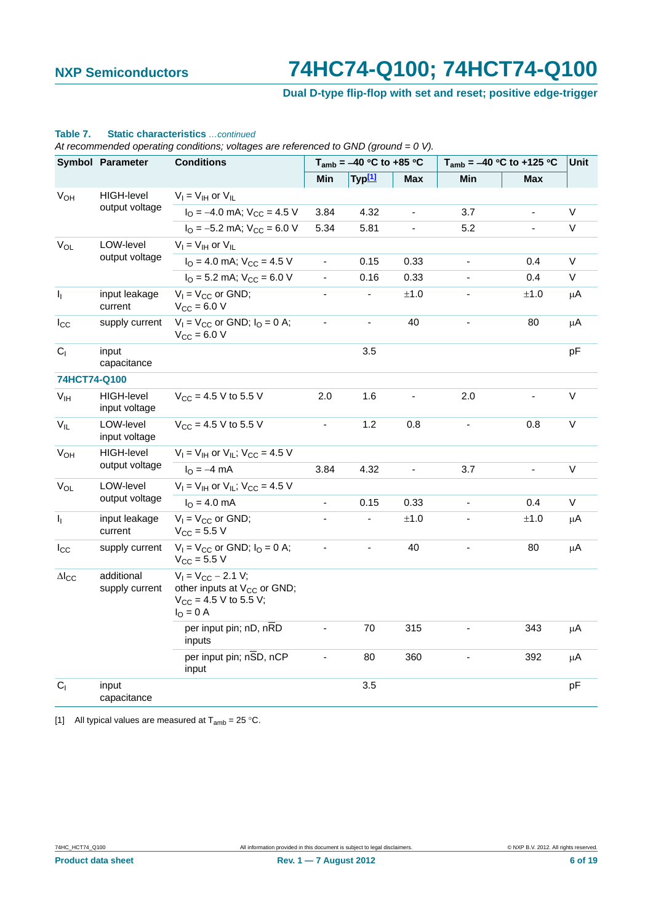## **Dual D-type flip-flop with set and reset; positive edge-trigger**

### <span id="page-5-0"></span>**Table 7. Static characteristics** *…continued*

*At recommended operating conditions; voltages are referenced to GND (ground = 0 V).*

|                                                 | Symbol Parameter                   | <b>Conditions</b>                                                                                              |                          | $T_{amb} = -40 °C$ to +85 °C |                |                          | $T_{amb} = -40$ °C to +125 °C | Unit        |
|-------------------------------------------------|------------------------------------|----------------------------------------------------------------------------------------------------------------|--------------------------|------------------------------|----------------|--------------------------|-------------------------------|-------------|
|                                                 |                                    |                                                                                                                | Min                      | Typ <sup>[1]</sup>           | Max            | Min                      | <b>Max</b>                    |             |
| $V_{OH}$                                        | <b>HIGH-level</b>                  | $V_I = V_{IH}$ or $V_{IL}$                                                                                     |                          |                              |                |                          |                               |             |
|                                                 | output voltage                     | $IO = -4.0$ mA; $VCC = 4.5$ V                                                                                  | 3.84                     | 4.32                         | $\blacksquare$ | 3.7                      | $\blacksquare$                | V           |
|                                                 |                                    | $I_{\text{O}} = -5.2 \text{ mA}$ ; $V_{\text{CC}} = 6.0 \text{ V}$                                             | 5.34                     | 5.81                         | ÷,             | 5.2                      |                               | $\mathsf V$ |
| $V_{OL}$                                        | LOW-level                          | $V_I = V_{IH}$ or $V_{IL}$                                                                                     |                          |                              |                |                          |                               |             |
|                                                 | output voltage                     | $I_{\Omega}$ = 4.0 mA; $V_{\text{CC}}$ = 4.5 V                                                                 | $\overline{a}$           | 0.15                         | 0.33           | ä,                       | 0.4                           | $\mathsf V$ |
|                                                 |                                    | $IO$ = 5.2 mA; $VCC$ = 6.0 V                                                                                   | $\blacksquare$           | 0.16                         | 0.33           |                          | 0.4                           | V           |
| $I_1$                                           | input leakage<br>current           | $V_1 = V_{CC}$ or GND;<br>$V_{CC} = 6.0 V$                                                                     | $\overline{\phantom{a}}$ | $\blacksquare$               | $\pm 1.0$      |                          | $\pm 1.0$                     | μA          |
| $I_{\rm CC}$                                    | supply current                     | $V_1 = V_{CC}$ or GND; $I_Q = 0$ A;<br>$V_{CC} = 6.0 V$                                                        | ÷,                       | $\blacksquare$               | 40             |                          | 80                            | μA          |
| C <sub>1</sub>                                  | input<br>capacitance               |                                                                                                                |                          | 3.5                          |                |                          |                               | рF          |
| 74HCT74-Q100                                    |                                    |                                                                                                                |                          |                              |                |                          |                               |             |
| V <sub>IH</sub>                                 | <b>HIGH-level</b><br>input voltage | $V_{CC}$ = 4.5 V to 5.5 V                                                                                      | 2.0                      | 1.6                          |                | 2.0                      | ä,                            | V           |
| $V_{IL}$                                        | LOW-level<br>input voltage         | $V_{CC}$ = 4.5 V to 5.5 V                                                                                      |                          | 1.2                          | 0.8            |                          | 0.8                           | V           |
| <b>V<sub>OH</sub></b>                           | <b>HIGH-level</b>                  | $V_1 = V_{1H}$ or $V_{1L}$ ; $V_{CC} = 4.5$ V                                                                  |                          |                              |                |                          |                               |             |
|                                                 | output voltage                     | $I_{\Omega} = -4$ mA                                                                                           | 3.84                     | 4.32                         | $\frac{1}{2}$  | 3.7                      | ÷,                            | $\mathsf V$ |
| $V_{OL}$                                        | LOW-level                          | $V_1 = V_{1H}$ or $V_{1I}$ ; $V_{CC} = 4.5$ V                                                                  |                          |                              |                |                          |                               |             |
|                                                 | output voltage                     | $IO = 4.0 mA$                                                                                                  | ÷,                       | 0.15                         | 0.33           | $\blacksquare$           | 0.4                           | V           |
| $I_{\rm I}$                                     | input leakage<br>current           | $V_1 = V_{CC}$ or GND;<br>$V_{\rm CC} = 5.5 V$                                                                 |                          | $\blacksquare$               | ±1.0           |                          | $\pm 1.0$                     | μA          |
| $I_{\rm CC}$                                    | supply current                     | $V_1 = V_{CC}$ or GND; $I_0 = 0$ A;<br>$V_{CC}$ = 5.5 V                                                        | $\frac{1}{2}$            | ÷,                           | 40             | $\overline{\phantom{a}}$ | 80                            | $\mu$ A     |
| additional<br>$\Delta I_{CC}$<br>supply current |                                    | $V_1 = V_{CC} - 2.1 V;$<br>other inputs at V <sub>CC</sub> or GND;<br>$V_{CC}$ = 4.5 V to 5.5 V;<br>$IO = 0$ A |                          |                              |                |                          |                               |             |
|                                                 |                                    | per input pin; nD, nRD<br>inputs                                                                               |                          | 70                           | 315            |                          | 343                           | μA          |
|                                                 |                                    | per input pin; nSD, nCP<br>input                                                                               | L,                       | 80                           | 360            |                          | 392                           | μA          |
| C <sub>1</sub>                                  | input<br>capacitance               |                                                                                                                |                          | 3.5                          |                |                          |                               | pF          |

[1] All typical values are measured at  $T_{amb} = 25 \degree C$ .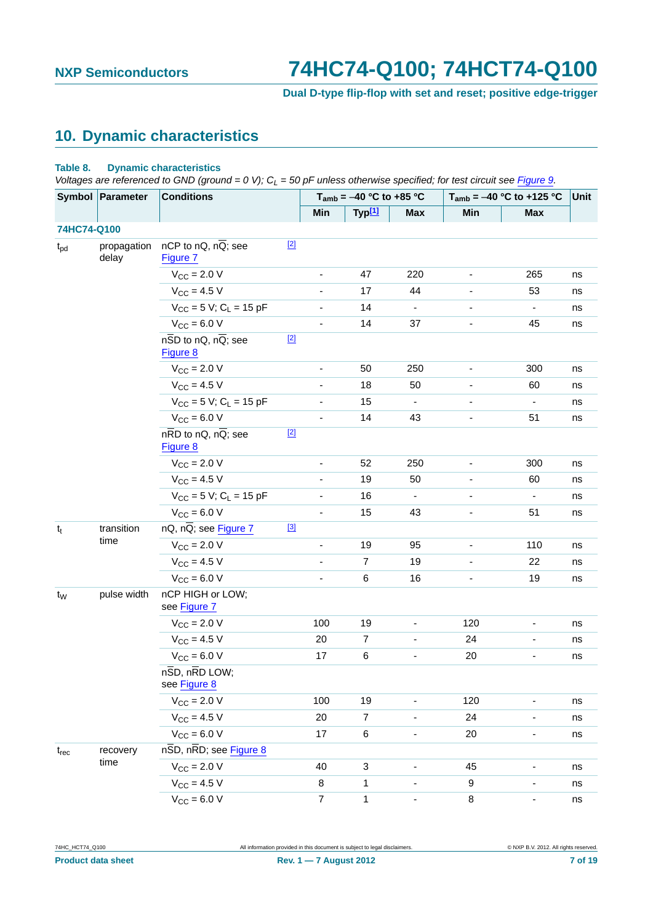**Dual D-type flip-flop with set and reset; positive edge-trigger**

# <span id="page-6-0"></span>**10. Dynamic characteristics**

### **Table 8. Dynamic characteristics**

*Voltages are referenced to GND (ground = 0 V); C<sub>L</sub> = 50 pF unless otherwise specified; for test circuit see [Figure 9.](#page-11-0)* 

|                | Symbol Parameter     | <b>Conditions</b>                                            |                |                          | $T_{amb} = -40$ °C to +85 °C |                |                          | $T_{amb} = -40 °C$ to +125 °C | Unit |
|----------------|----------------------|--------------------------------------------------------------|----------------|--------------------------|------------------------------|----------------|--------------------------|-------------------------------|------|
|                |                      |                                                              |                | Min                      | Typ <sup>[1]</sup>           | <b>Max</b>     | Min                      | <b>Max</b>                    |      |
| 74HC74-Q100    |                      |                                                              |                |                          |                              |                |                          |                               |      |
| $t_{\rm pd}$   | propagation<br>delay | nCP to nQ, nQ; see<br>Figure 7                               | $[2]$          |                          |                              |                |                          |                               |      |
|                |                      | $V_{\text{CC}}$ = 2.0 V                                      |                |                          | 47                           | 220            |                          | 265                           | ns   |
|                |                      | $V_{CC} = 4.5 V$                                             |                | $\overline{\phantom{0}}$ | 17                           | 44             |                          | 53                            | ns   |
|                |                      | $V_{CC}$ = 5 V; C <sub>L</sub> = 15 pF                       |                |                          | 14                           |                |                          |                               | ns   |
|                |                      | $V_{CC} = 6.0 V$                                             |                | $\overline{\phantom{0}}$ | 14                           | 37             |                          | 45                            | ns   |
|                |                      | $n\overline{SD}$ to nQ, nQ; see<br>Figure 8                  | $[2]$          |                          |                              |                |                          |                               |      |
|                |                      | $V_{\text{CC}} = 2.0 V$                                      |                | $\overline{\phantom{a}}$ | 50                           | 250            | $\overline{\phantom{0}}$ | 300                           | ns   |
|                |                      | $V_{\text{CC}} = 4.5 V$                                      |                |                          | 18                           | 50             |                          | 60                            | ns   |
|                |                      | $V_{CC} = 5 V$ ; C <sub>L</sub> = 15 pF                      |                |                          | 15                           |                |                          | $\overline{\phantom{0}}$      | ns   |
|                |                      | $V_{CC} = 6.0 V$                                             |                |                          | 14                           | 43             |                          | 51                            | ns   |
|                |                      | $n\overline{RD}$ to $nQ$ , $n\overline{Q}$ ; see<br>Figure 8 | $[2]$          |                          |                              |                |                          |                               |      |
|                |                      | $V_{\text{CC}} = 2.0 V$                                      |                | $\blacksquare$           | 52                           | 250            | $\overline{\phantom{0}}$ | 300                           | ns   |
|                |                      | $V_{CC} = 4.5 V$                                             |                |                          | 19                           | 50             |                          | 60                            | ns   |
|                |                      | $V_{CC} = 5 V$ ; C <sub>L</sub> = 15 pF                      |                |                          | 16                           | $\blacksquare$ | $\blacksquare$           | $\blacksquare$                | ns   |
|                |                      | $V_{CC} = 6.0 V$                                             |                |                          | 15                           | 43             |                          | 51                            | ns   |
| $t_t$          | transition           | nQ, nQ; see Figure 7                                         | $[3]$          |                          |                              |                |                          |                               |      |
|                | time                 | $V_{CC} = 2.0 V$                                             |                |                          | 19                           | 95             |                          | 110                           | ns   |
|                |                      | $V_{CC} = 4.5 V$                                             |                |                          | $\overline{7}$               | 19             | $\overline{\phantom{a}}$ | 22                            | ns   |
|                |                      | $V_{CC} = 6.0 V$                                             |                | $\overline{\phantom{a}}$ | $\,6\,$                      | 16             |                          | 19                            | ns   |
| t <sub>w</sub> | pulse width          | nCP HIGH or LOW;<br>see Figure 7                             |                |                          |                              |                |                          |                               |      |
|                |                      | $V_{CC}$ = 2.0 V                                             |                | 100                      | 19                           |                | 120                      |                               | ns   |
|                |                      | $V_{CC} = 4.5 V$                                             |                | 20                       | $\overline{7}$               |                | 24                       | -                             | ns   |
|                |                      | $V_{CC} = 6.0 V$                                             |                | 17                       | $\,6$                        |                | 20                       |                               | ns   |
|                |                      | $n\overline{SD}$ , $n\overline{RD}$ LOW;<br>see Figure 8     |                |                          |                              |                |                          |                               |      |
|                |                      | $V_{CC}$ = 2.0 V                                             |                | 100                      | 19                           |                | 120                      |                               | ns   |
|                |                      | $V_{CC} = 4.5 V$                                             |                | 20                       | $\overline{7}$               |                | 24                       | -                             | ns   |
|                |                      | $V_{CC} = 6.0 V$                                             |                | 17                       | 6                            | $\frac{1}{2}$  | 20                       | -                             | ns   |
| $t_{rec}$      | recovery             | nSD, nRD; see Figure 8                                       |                |                          |                              |                |                          |                               |      |
|                | time                 | $V_{CC} = 2.0 V$                                             |                | 40                       | 3                            |                | 45                       |                               | ns   |
|                |                      | $V_{CC} = 4.5 V$                                             |                | 8                        | $\mathbf{1}$                 |                | 9                        | -                             | ns   |
|                | $V_{CC}$ = 6.0 V     |                                                              | $\overline{7}$ | 1                        |                              | $\bf 8$        | -                        | ns                            |      |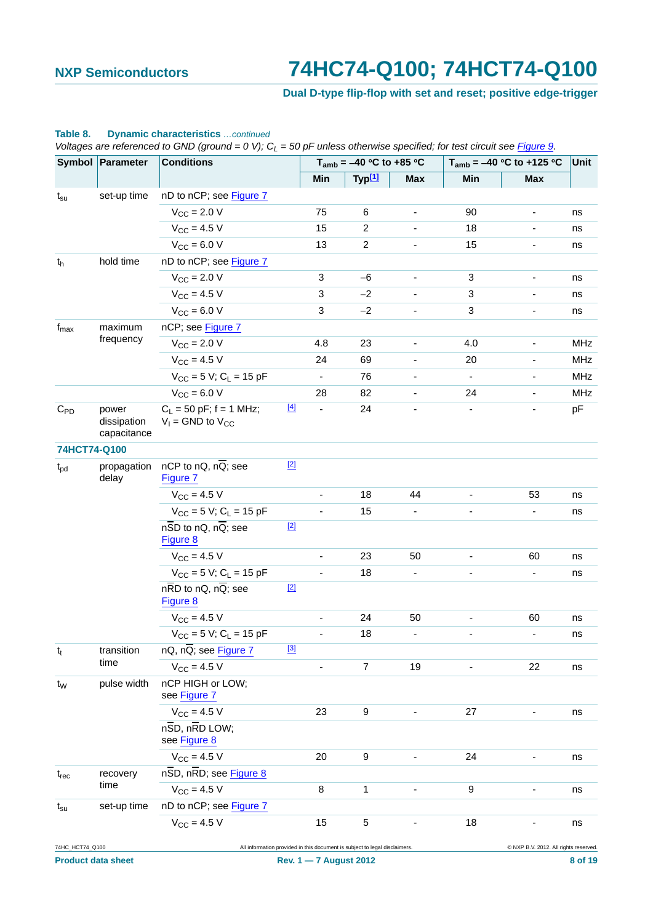## **Dual D-type flip-flop with set and reset; positive edge-trigger**

|                  |                                     | Voltages are referenced to GND (ground = 0 V); C <sub>L</sub> = 50 pF unless otherwise specified; for test circuit see Figure 9. |       |               |                              |            |                              |                               |     |
|------------------|-------------------------------------|----------------------------------------------------------------------------------------------------------------------------------|-------|---------------|------------------------------|------------|------------------------------|-------------------------------|-----|
|                  | Symbol Parameter                    | <b>Conditions</b>                                                                                                                |       |               | $T_{amb} = -40 °C$ to +85 °C |            |                              | $T_{amb} = -40 °C$ to +125 °C |     |
|                  |                                     |                                                                                                                                  |       | Min           | Typ[1]                       | <b>Max</b> | Min                          | <b>Max</b>                    |     |
| $t_{\rm su}$     | set-up time                         | nD to nCP; see Figure 7                                                                                                          |       |               |                              |            |                              |                               |     |
|                  |                                     | $V_{\text{CC}}$ = 2.0 V                                                                                                          |       | 75            | $\,6$                        |            | 90                           |                               | ns  |
|                  |                                     | $V_{CC} = 4.5 V$                                                                                                                 |       | 15            | $\overline{2}$               |            | 18                           |                               | ns  |
|                  |                                     | $V_{CC}$ = 6.0 V                                                                                                                 |       | 13            | $\overline{c}$               |            | 15                           |                               | ns  |
| $t_h$            | hold time                           | nD to nCP; see Figure 7                                                                                                          |       |               |                              |            |                              |                               |     |
|                  |                                     | $V_{\rm CC} = 2.0 V$                                                                                                             |       | $\sqrt{3}$    | $-6$                         |            | $\ensuremath{\mathsf{3}}$    |                               | ns  |
|                  |                                     | $V_{CC} = 4.5 V$                                                                                                                 |       | 3             | $-2$                         |            | 3                            |                               | ns  |
|                  |                                     | $V_{CC} = 6.0 V$                                                                                                                 |       | 3             | $-2$                         |            | 3                            |                               | ns  |
| $f_{\text{max}}$ | maximum                             | nCP; see Figure 7                                                                                                                |       |               |                              |            |                              |                               |     |
|                  | frequency                           | $V_{\text{CC}} = 2.0 V$                                                                                                          |       | 4.8           | 23                           |            | 4.0                          |                               | MHz |
|                  |                                     | $V_{\rm CC} = 4.5 V$                                                                                                             |       | 24            | 69                           |            | 20                           |                               | MHz |
|                  |                                     | $V_{CC}$ = 5 V; C <sub>1</sub> = 15 pF                                                                                           |       |               | 76                           |            |                              |                               | MHz |
|                  |                                     | $V_{CC} = 6.0 V$                                                                                                                 |       | 28            | 82                           |            | 24                           | $\overline{\phantom{0}}$      | MHz |
| $C_{PD}$         | power<br>dissipation<br>capacitance | $C_L$ = 50 pF; f = 1 MHz;<br>$V_1$ = GND to $V_{CC}$                                                                             | $[4]$ |               | 24                           |            |                              |                               | pF  |
| 74HCT74-Q100     |                                     |                                                                                                                                  |       |               |                              |            |                              |                               |     |
| $t_{pd}$         | propagation<br>delay                | nCP to nQ, nQ; see<br>Figure 7                                                                                                   | $[2]$ |               |                              |            |                              |                               |     |
|                  |                                     | $V_{\rm CC} = 4.5 V$                                                                                                             |       |               | 18                           | 44         |                              | 53                            | ns  |
|                  |                                     | $V_{CC}$ = 5 V; C <sub>L</sub> = 15 pF                                                                                           |       | ÷,            | 15                           |            |                              | $\qquad \qquad \blacksquare$  | ns  |
|                  |                                     | $n\overline{SD}$ to nQ, $n\overline{Q}$ ; see<br>Figure 8                                                                        | $[2]$ |               |                              |            |                              |                               |     |
|                  |                                     | $V_{CC} = 4.5 V$                                                                                                                 |       |               | 23                           | 50         |                              | 60                            | ns  |
|                  |                                     | $V_{CC}$ = 5 V; C <sub>L</sub> = 15 pF                                                                                           |       |               | 18                           |            |                              | -                             | ns  |
|                  |                                     | $n\overline{RD}$ to $nQ$ , $n\overline{Q}$ ; see<br>Figure 8                                                                     | $[2]$ |               |                              |            |                              |                               |     |
|                  |                                     | $V_{\text{CC}} = 4.5 V$                                                                                                          |       | $\frac{1}{2}$ | 24                           | 50         | $\qquad \qquad \blacksquare$ | 60                            | ns  |
|                  |                                     | $V_{CC}$ = 5 V; C <sub>L</sub> = 15 pF                                                                                           |       |               | 18                           |            |                              |                               | ns  |
| $t_t$            | transition                          | $nQ$ , $n\overline{Q}$ ; see Figure 7                                                                                            | $[3]$ |               |                              |            |                              |                               |     |
|                  | time                                | $V_{CC} = 4.5 V$                                                                                                                 |       |               | $\overline{7}$               | 19         |                              | 22                            | ns  |
| $t_{W}$          | pulse width                         | nCP HIGH or LOW;<br>see Figure 7                                                                                                 |       |               |                              |            |                              |                               |     |
|                  |                                     | $V_{CC} = 4.5 V$                                                                                                                 |       | 23            | 9                            |            | 27                           |                               | ns  |
|                  |                                     | $n\overline{SD}$ , $n\overline{RD}$ LOW;<br>see Figure 8                                                                         |       |               |                              |            |                              |                               |     |
|                  |                                     | $V_{CC} = 4.5 V$                                                                                                                 |       | 20            | $\boldsymbol{9}$             |            | 24                           |                               | ns  |
| $t_{rec}$        | recovery                            | nSD, nRD; see Figure 8                                                                                                           |       |               |                              |            |                              |                               |     |
|                  | time                                | $V_{CC} = 4.5 V$                                                                                                                 |       | 8             | 1                            |            | 9                            |                               | ns  |
| $t_{\rm su}$     | set-up time                         | nD to nCP; see Figure 7                                                                                                          |       |               |                              |            |                              |                               |     |
|                  |                                     | $V_{CC} = 4.5 V$                                                                                                                 |       | 15            | 5                            |            | 18                           |                               | ns  |

### **Table 8. Dynamic characteristics** *…continued*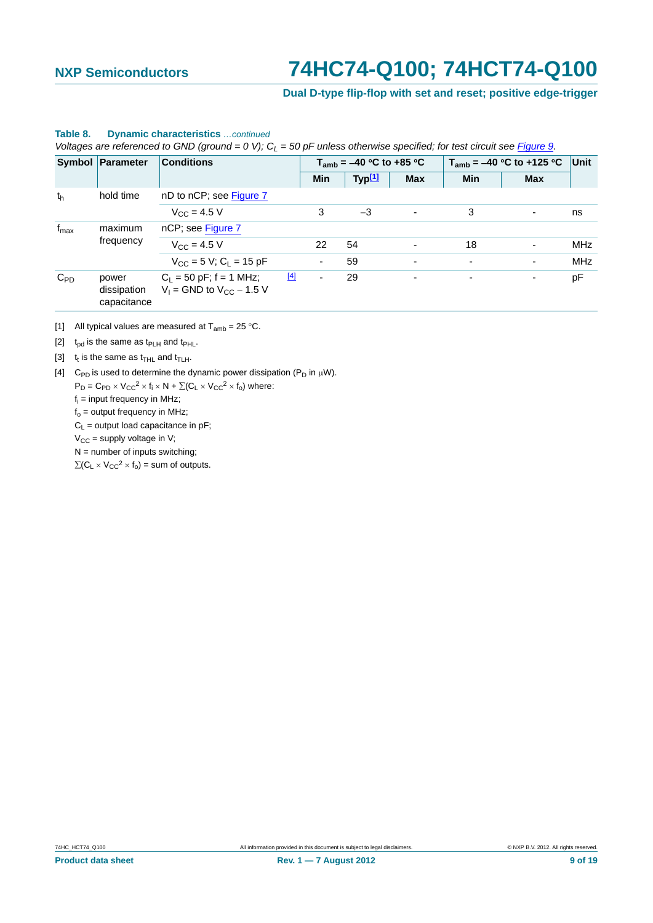**Dual D-type flip-flop with set and reset; positive edge-trigger**

|                             | voltages are referenced to GND (ground = 0 V), G <sub>L</sub> = 50 pF unless otherwise specified, for test circuit see Figure 9. |                                                              |       |                              |        |            |                          |                               |             |
|-----------------------------|----------------------------------------------------------------------------------------------------------------------------------|--------------------------------------------------------------|-------|------------------------------|--------|------------|--------------------------|-------------------------------|-------------|
|                             | Symbol Parameter                                                                                                                 | <b>Conditions</b>                                            |       | $T_{amb} = -40$ °C to +85 °C |        |            |                          | $T_{amb} = -40$ °C to +125 °C | <b>Unit</b> |
|                             |                                                                                                                                  |                                                              |       | Min                          | Typ[1] | <b>Max</b> | Min                      | <b>Max</b>                    |             |
| hold time<br>th             |                                                                                                                                  | nD to nCP; see Figure 7                                      |       |                              |        |            |                          |                               |             |
|                             |                                                                                                                                  | $V_{C} = 4.5 V$                                              |       | 3                            | $-3$   |            | 3                        | ۰                             | ns          |
| $f_{\text{max}}$<br>maximum | nCP; see Figure 7                                                                                                                |                                                              |       |                              |        |            |                          |                               |             |
|                             | frequency                                                                                                                        | $V_{\rm CC} = 4.5 V$                                         |       | 22                           | 54     |            | 18                       | ٠                             | <b>MHz</b>  |
|                             |                                                                                                                                  | $V_{CC}$ = 5 V; C <sub>1</sub> = 15 pF                       |       | ۰.                           | 59     |            | $\overline{\phantom{a}}$ | $\overline{\phantom{a}}$      | <b>MHz</b>  |
| $C_{PD}$                    | power<br>dissipation<br>capacitance                                                                                              | $C_1 = 50$ pF; f = 1 MHz;<br>$V_1$ = GND to $V_{CC}$ – 1.5 V | $[4]$ | ٠                            | 29     | ۰          | $\overline{\phantom{a}}$ | ۰                             | рF          |

## <span id="page-8-0"></span>**Table 8. Dynamic characteristics** *…continued*

*Voltages are referenced to GND (ground = 0 V); CL = 50 pF unless otherwise specified; for test circuit see Figure 9.*

[1] All typical values are measured at  $T_{amb} = 25 \degree C$ .

[2]  $t_{\text{pd}}$  is the same as  $t_{\text{PLH}}$  and  $t_{\text{PHL}}$ .

[3]  $t_t$  is the same as  $t_{\text{THL}}$  and  $t_{\text{TLH}}$ .

[4] C<sub>PD</sub> is used to determine the dynamic power dissipation ( $P_D$  in  $\mu$ W).

 $P_D = C_{PD} \times V_{CC}^2 \times f_i \times N + \Sigma (C_L \times V_{CC}^2 \times f_0)$  where:

fi = input frequency in MHz;

 $f<sub>o</sub>$  = output frequency in MHz;

 $C_L$  = output load capacitance in pF;

 $V_{CC}$  = supply voltage in V;

 $N =$  number of inputs switching;

 $\sum (C_L \times V_{CC}^2 \times f_0)$  = sum of outputs.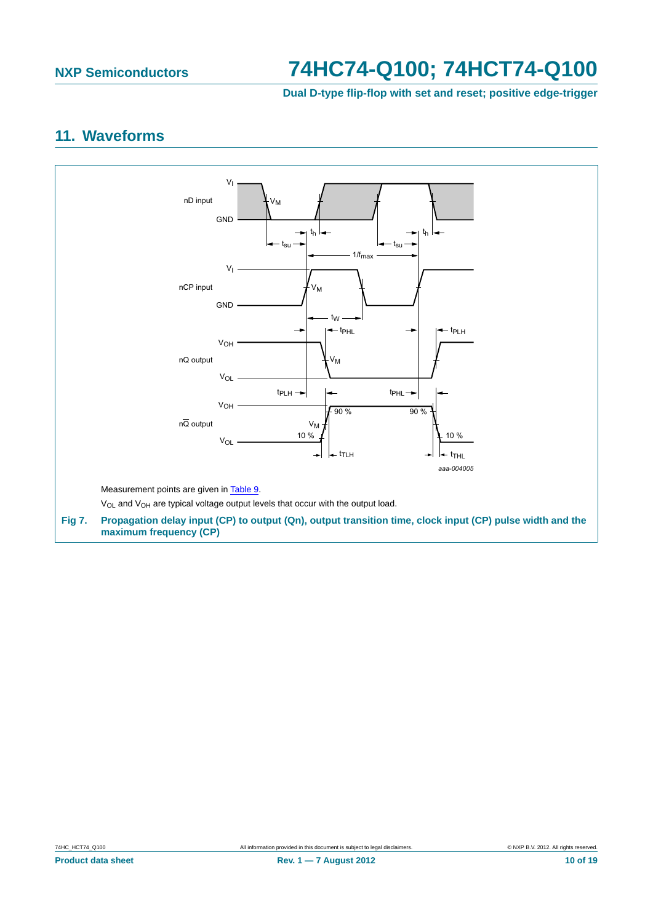**Dual D-type flip-flop with set and reset; positive edge-trigger**

## <span id="page-9-0"></span>**11. Waveforms**

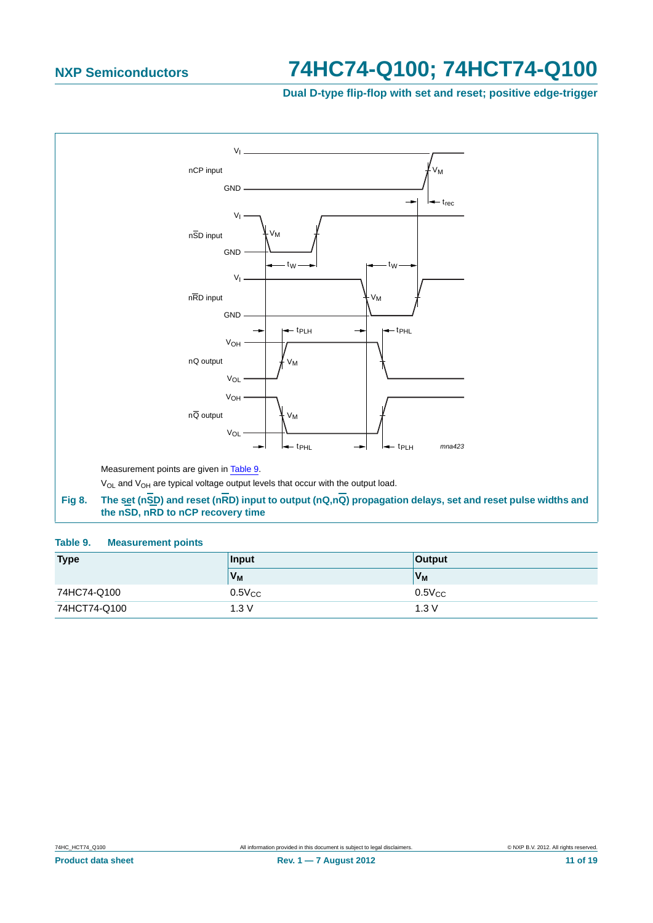**Dual D-type flip-flop with set and reset; positive edge-trigger**

<span id="page-10-0"></span>

### **Table 9. Measurement points**

| <b>Type</b>  | Input          | <b>Output</b> |
|--------------|----------------|---------------|
|              | V <sub>M</sub> | $V_M$         |
| 74HC74-Q100  | $0.5V_{CC}$    | $0.5V_{CC}$   |
| 74HCT74-Q100 | 1.3V           | 1.3V          |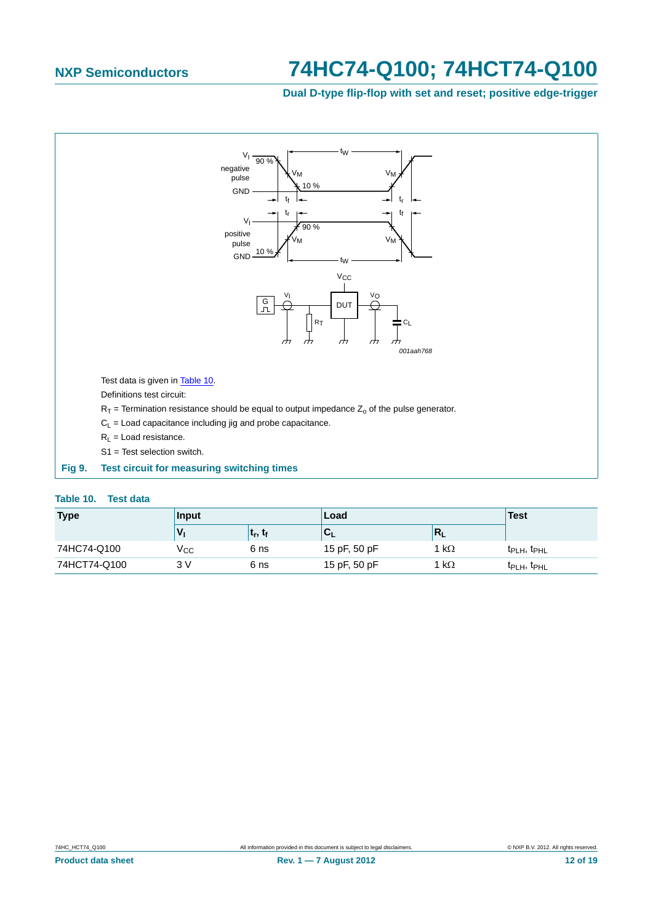**Dual D-type flip-flop with set and reset; positive edge-trigger**

<span id="page-11-0"></span>

### **Table 10. Test data**

| <b>Type</b>  | Input |                                   | Load                |              | <b>Test</b>                         |
|--------------|-------|-----------------------------------|---------------------|--------------|-------------------------------------|
|              |       | ∣ t <sub>r</sub> , t <sub>f</sub> | ${}^{\dagger}C_{L}$ | $R_L$        |                                     |
| 74HC74-Q100  | Vcc   | 6 ns                              | 15 pF, 50 pF        | 1 k $\Omega$ | $t_{\text{PLH}}$ , $t_{\text{PHL}}$ |
| 74HCT74-Q100 | 3 V   | 6 ns                              | 15 pF, 50 pF        | 1 k $\Omega$ | t <sub>PLH</sub> , t <sub>PHL</sub> |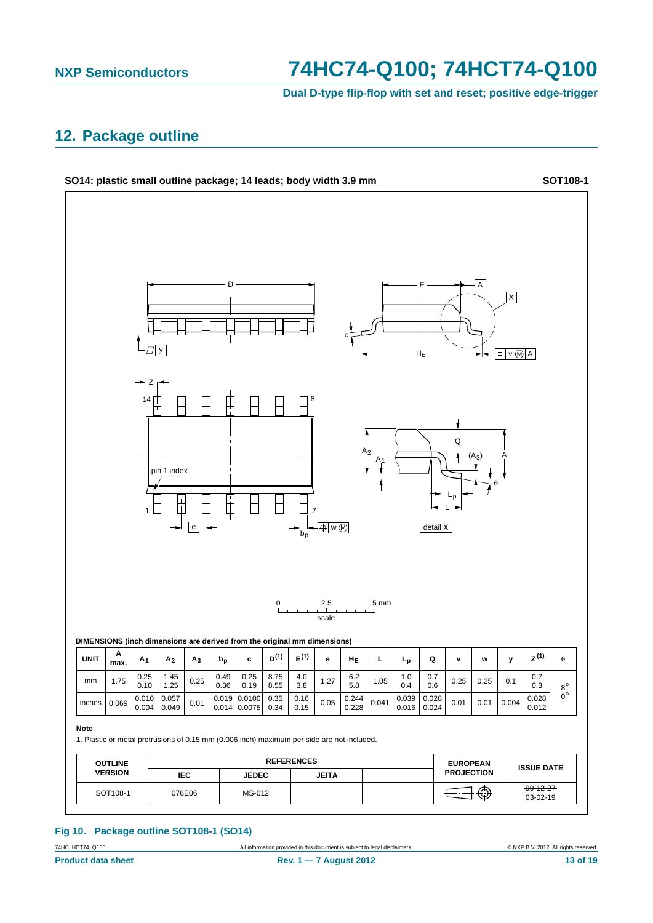**Dual D-type flip-flop with set and reset; positive edge-trigger**

## <span id="page-12-0"></span>**12. Package outline**



### **Fig 10. Package outline SOT108-1 (SO14)**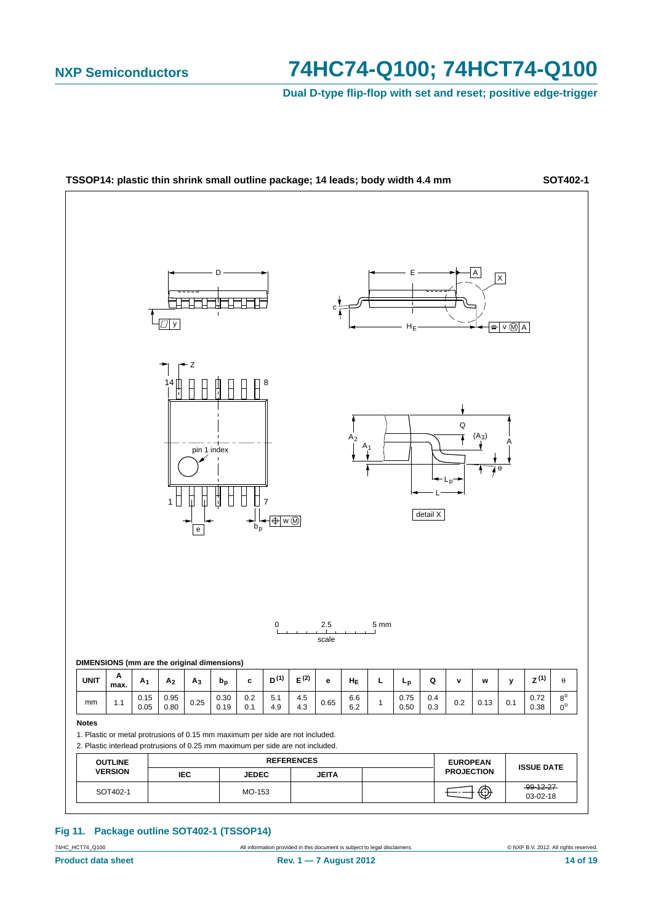**Dual D-type flip-flop with set and reset; positive edge-trigger**



### **Fig 11. Package outline SOT402-1 (TSSOP14)**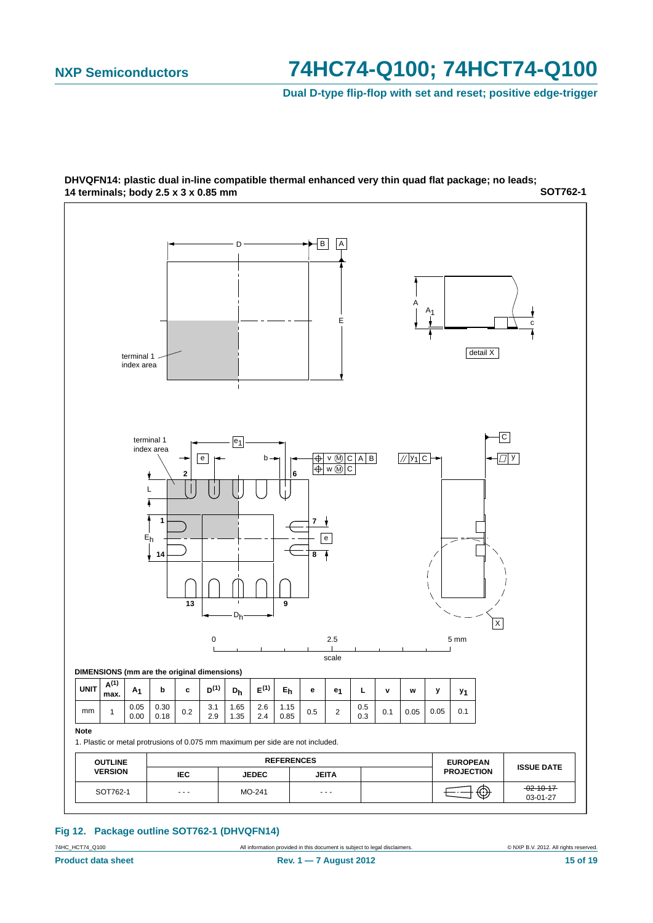**Dual D-type flip-flop with set and reset; positive edge-trigger**



**SOT762-1 DHVQFN14: plastic dual in-line compatible thermal enhanced very thin quad flat package; no leads; 14 terminals; body 2.5 x 3 x 0.85 mm**

### **Fig 12. Package outline SOT762-1 (DHVQFN14)**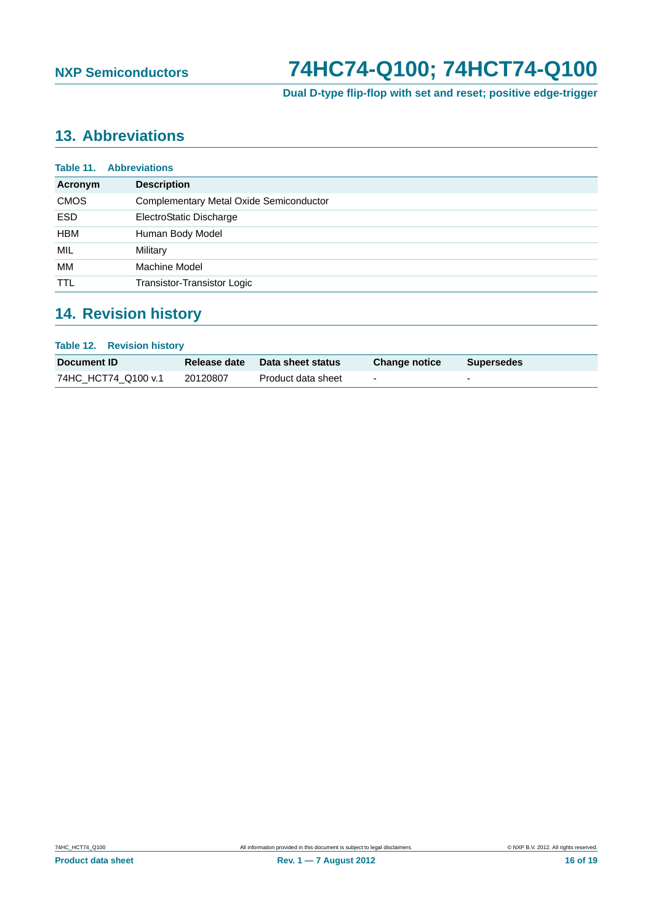**Dual D-type flip-flop with set and reset; positive edge-trigger**

# <span id="page-15-0"></span>**13. Abbreviations**

| Table 11.<br><b>Abbreviations</b> |                                                |  |  |  |
|-----------------------------------|------------------------------------------------|--|--|--|
| Acronym                           | <b>Description</b>                             |  |  |  |
| <b>CMOS</b>                       | <b>Complementary Metal Oxide Semiconductor</b> |  |  |  |
| <b>ESD</b>                        | ElectroStatic Discharge                        |  |  |  |
| <b>HBM</b>                        | Human Body Model                               |  |  |  |
| MIL                               | Military                                       |  |  |  |
| МM                                | Machine Model                                  |  |  |  |
| <b>TTL</b>                        | Transistor-Transistor Logic                    |  |  |  |

# **14. Revision history**

| <b>Table 12. Revision history</b> |                     |                    |                          |                   |  |  |
|-----------------------------------|---------------------|--------------------|--------------------------|-------------------|--|--|
| Document ID                       | <b>Release date</b> | Data sheet status  | <b>Change notice</b>     | <b>Supersedes</b> |  |  |
| 74HC HCT74 Q100 v.1               | 20120807            | Product data sheet | $\overline{\phantom{a}}$ | -                 |  |  |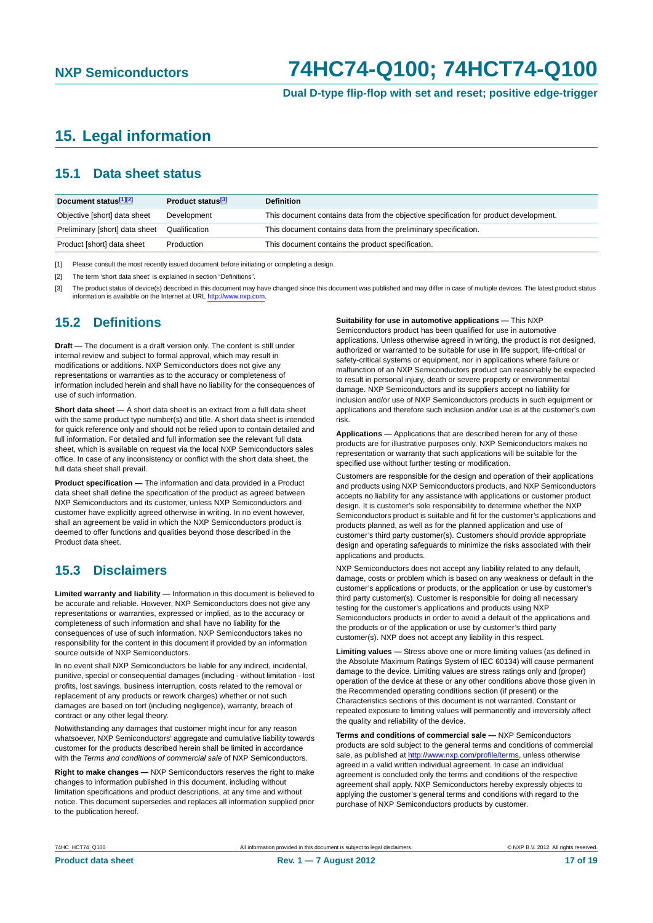**Dual D-type flip-flop with set and reset; positive edge-trigger**

## <span id="page-16-0"></span>**15. Legal information**

## **15.1 Data sheet status**

| Document status[1][2]          | Product status <sup>[3]</sup> | <b>Definition</b>                                                                     |
|--------------------------------|-------------------------------|---------------------------------------------------------------------------------------|
| Objective [short] data sheet   | Development                   | This document contains data from the objective specification for product development. |
| Preliminary [short] data sheet | Qualification                 | This document contains data from the preliminary specification.                       |
| Product [short] data sheet     | Production                    | This document contains the product specification.                                     |

[1] Please consult the most recently issued document before initiating or completing a design.

[2] The term 'short data sheet' is explained in section "Definitions"

[3] The product status of device(s) described in this document may have changed since this document was published and may differ in case of multiple devices. The latest product status<br>information is available on the Intern

## **15.2 Definitions**

**Draft —** The document is a draft version only. The content is still under internal review and subject to formal approval, which may result in modifications or additions. NXP Semiconductors does not give any representations or warranties as to the accuracy or completeness of information included herein and shall have no liability for the consequences of use of such information.

**Short data sheet —** A short data sheet is an extract from a full data sheet with the same product type number(s) and title. A short data sheet is intended for quick reference only and should not be relied upon to contain detailed and full information. For detailed and full information see the relevant full data sheet, which is available on request via the local NXP Semiconductors sales office. In case of any inconsistency or conflict with the short data sheet, the full data sheet shall prevail.

**Product specification —** The information and data provided in a Product data sheet shall define the specification of the product as agreed between NXP Semiconductors and its customer, unless NXP Semiconductors and customer have explicitly agreed otherwise in writing. In no event however, shall an agreement be valid in which the NXP Semiconductors product is deemed to offer functions and qualities beyond those described in the Product data sheet.

## **15.3 Disclaimers**

**Limited warranty and liability —** Information in this document is believed to be accurate and reliable. However, NXP Semiconductors does not give any representations or warranties, expressed or implied, as to the accuracy or completeness of such information and shall have no liability for the consequences of use of such information. NXP Semiconductors takes no responsibility for the content in this document if provided by an information source outside of NXP Semiconductors.

In no event shall NXP Semiconductors be liable for any indirect, incidental, punitive, special or consequential damages (including - without limitation - lost profits, lost savings, business interruption, costs related to the removal or replacement of any products or rework charges) whether or not such damages are based on tort (including negligence), warranty, breach of contract or any other legal theory.

Notwithstanding any damages that customer might incur for any reason whatsoever, NXP Semiconductors' aggregate and cumulative liability towards customer for the products described herein shall be limited in accordance with the *Terms and conditions of commercial sale* of NXP Semiconductors.

**Right to make changes —** NXP Semiconductors reserves the right to make changes to information published in this document, including without limitation specifications and product descriptions, at any time and without notice. This document supersedes and replaces all information supplied prior to the publication hereof.

### **Suitability for use in automotive applications —** This NXP

Semiconductors product has been qualified for use in automotive applications. Unless otherwise agreed in writing, the product is not designed, authorized or warranted to be suitable for use in life support, life-critical or safety-critical systems or equipment, nor in applications where failure or malfunction of an NXP Semiconductors product can reasonably be expected to result in personal injury, death or severe property or environmental damage. NXP Semiconductors and its suppliers accept no liability for inclusion and/or use of NXP Semiconductors products in such equipment or applications and therefore such inclusion and/or use is at the customer's own risk.

**Applications —** Applications that are described herein for any of these products are for illustrative purposes only. NXP Semiconductors makes no representation or warranty that such applications will be suitable for the specified use without further testing or modification.

Customers are responsible for the design and operation of their applications and products using NXP Semiconductors products, and NXP Semiconductors accepts no liability for any assistance with applications or customer product design. It is customer's sole responsibility to determine whether the NXP Semiconductors product is suitable and fit for the customer's applications and products planned, as well as for the planned application and use of customer's third party customer(s). Customers should provide appropriate design and operating safeguards to minimize the risks associated with their applications and products.

NXP Semiconductors does not accept any liability related to any default, damage, costs or problem which is based on any weakness or default in the customer's applications or products, or the application or use by customer's third party customer(s). Customer is responsible for doing all necessary testing for the customer's applications and products using NXP Semiconductors products in order to avoid a default of the applications and the products or of the application or use by customer's third party customer(s). NXP does not accept any liability in this respect.

**Limiting values —** Stress above one or more limiting values (as defined in the Absolute Maximum Ratings System of IEC 60134) will cause permanent damage to the device. Limiting values are stress ratings only and (proper) operation of the device at these or any other conditions above those given in the Recommended operating conditions section (if present) or the Characteristics sections of this document is not warranted. Constant or repeated exposure to limiting values will permanently and irreversibly affect the quality and reliability of the device.

**Terms and conditions of commercial sale —** NXP Semiconductors products are sold subject to the general terms and conditions of commercial sale, as published at<http://www.nxp.com/profile/terms>, unless otherwise agreed in a valid written individual agreement. In case an individual agreement is concluded only the terms and conditions of the respective agreement shall apply. NXP Semiconductors hereby expressly objects to applying the customer's general terms and conditions with regard to the purchase of NXP Semiconductors products by customer.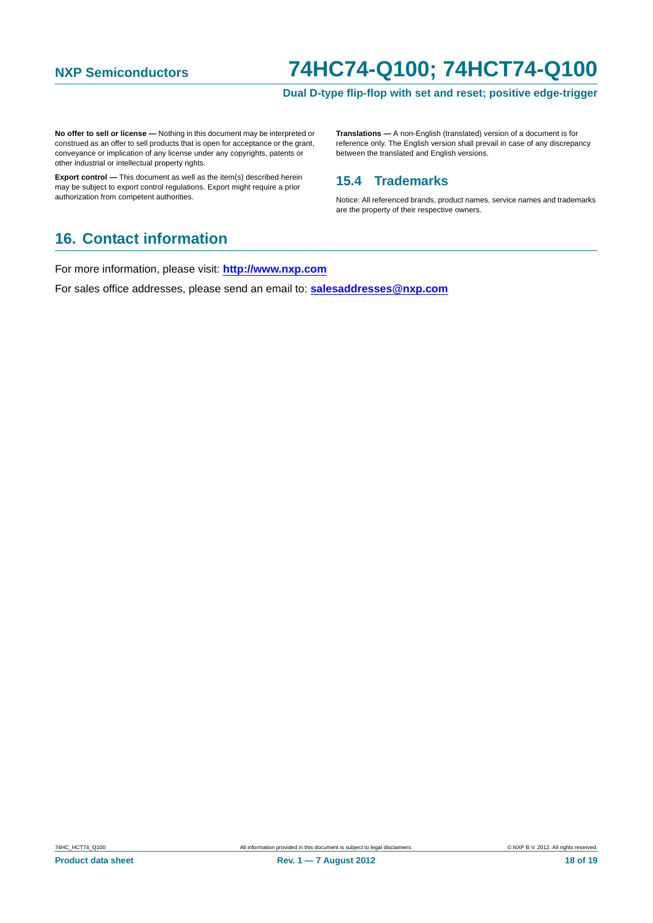### **Dual D-type flip-flop with set and reset; positive edge-trigger**

<span id="page-17-0"></span>**No offer to sell or license —** Nothing in this document may be interpreted or construed as an offer to sell products that is open for acceptance or the grant, conveyance or implication of any license under any copyrights, patents or other industrial or intellectual property rights.

**Export control —** This document as well as the item(s) described herein may be subject to export control regulations. Export might require a prior authorization from competent authorities.

**Translations —** A non-English (translated) version of a document is for reference only. The English version shall prevail in case of any discrepancy between the translated and English versions.

### **15.4 Trademarks**

Notice: All referenced brands, product names, service names and trademarks are the property of their respective owners.

## **16. Contact information**

For more information, please visit: **http://www.nxp.com**

For sales office addresses, please send an email to: **salesaddresses@nxp.com**